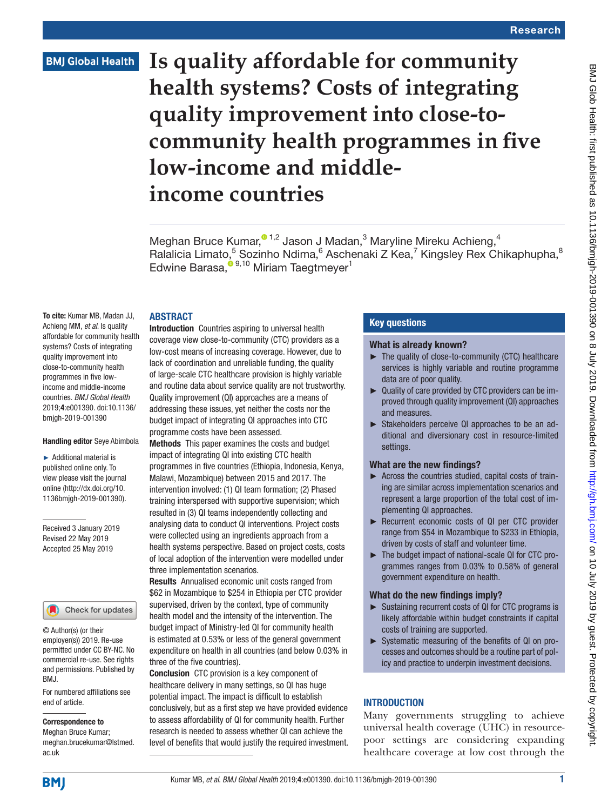# **BMJ Global Health**

**Is quality affordable for community health systems? Costs of integrating quality improvement into close-tocommunity health programmes in five low-income and middleincome countries**

Meghan Bruce Kumar[,](http://orcid.org/0000-0002-4713-8328)<sup>o 1,2</sup> Jason J Madan,<sup>3</sup> Maryline Mireku Achieng,<sup>4</sup> Ralalicia Limato,<sup>5</sup> Sozinho Ndima,<sup>6</sup> Aschenaki Z Kea,<sup>7</sup> Kingsley Rex Chikaphupha,<sup>8</sup> Edwine Barasa[,](http://orcid.org/0000-0001-5793-7177)<sup>® 9,10</sup> Miriam Taegtmeyer<sup>1</sup>

#### ABSTRACT

To cite: Kumar MB, Madan JJ, Achieng MM, *et al*. Is quality affordable for community health systems? Costs of integrating quality improvement into close-to-community health programmes in five lowincome and middle-income countries. *BMJ Global Health* 2019;4:e001390. doi:10.1136/ bmjgh-2019-001390

#### Handling editor Seye Abimbola

► Additional material is published online only. To view please visit the journal online ([http://dx.doi.org/10.](http://dx.doi.org/10.1136bmjgh-2019-001390) [1136bmjgh-2019-001390\)](http://dx.doi.org/10.1136bmjgh-2019-001390).

Received 3 January 2019 Revised 22 May 2019 Accepted 25 May 2019

Check for updates

© Author(s) (or their employer(s)) 2019. Re-use permitted under CC BY-NC. No commercial re-use. See rights and permissions. Published by BMJ.

For numbered affiliations see end of article.

#### Correspondence to

Meghan Bruce Kumar; meghan.brucekumar@lstmed. ac.uk

Introduction Countries aspiring to universal health coverage view close-to-community (CTC) providers as a low-cost means of increasing coverage. However, due to lack of coordination and unreliable funding, the quality of large-scale CTC healthcare provision is highly variable and routine data about service quality are not trustworthy. Quality improvement (QI) approaches are a means of addressing these issues, yet neither the costs nor the budget impact of integrating QI approaches into CTC programme costs have been assessed.

Methods This paper examines the costs and budget impact of integrating QI into existing CTC health programmes in five countries (Ethiopia, Indonesia, Kenya, Malawi, Mozambique) between 2015 and 2017. The intervention involved: (1) QI team formation; (2) Phased training interspersed with supportive supervision; which resulted in (3) QI teams independently collecting and analysing data to conduct QI interventions. Project costs were collected using an ingredients approach from a health systems perspective. Based on project costs, costs of local adoption of the intervention were modelled under three implementation scenarios.

Results Annualised economic unit costs ranged from \$62 in Mozambique to \$254 in Ethiopia per CTC provider supervised, driven by the context, type of community health model and the intensity of the intervention. The budget impact of Ministry-led QI for community health is estimated at 0.53% or less of the general government expenditure on health in all countries (and below 0.03% in three of the five countries).

Conclusion CTC provision is a key component of healthcare delivery in many settings, so QI has huge potential impact. The impact is difficult to establish conclusively, but as a first step we have provided evidence to assess affordability of QI for community health. Further research is needed to assess whether QI can achieve the level of benefits that would justify the required investment.

## Key questions

#### What is already known?

- ► The quality of close-to-community (CTC) healthcare services is highly variable and routine programme data are of poor quality.
- ► Quality of care provided by CTC providers can be improved through quality improvement (QI) approaches and measures.
- ► Stakeholders perceive QI approaches to be an additional and diversionary cost in resource-limited settings.

#### What are the new findings?

- ► Across the countries studied, capital costs of training are similar across implementation scenarios and represent a large proportion of the total cost of implementing QI approaches.
- ► Recurrent economic costs of QI per CTC provider range from \$54 in Mozambique to \$233 in Ethiopia, driven by costs of staff and volunteer time.
- ► The budget impact of national-scale QI for CTC programmes ranges from 0.03% to 0.58% of general government expenditure on health.

#### What do the new findings imply?

- ► Sustaining recurrent costs of QI for CTC programs is likely affordable within budget constraints if capital costs of training are supported.
- ► Systematic measuring of the benefits of QI on processes and outcomes should be a routine part of policy and practice to underpin investment decisions.

## **INTRODUCTION**

Many governments struggling to achieve universal health coverage (UHC) in resourcepoor settings are considering expanding healthcare coverage at low cost through the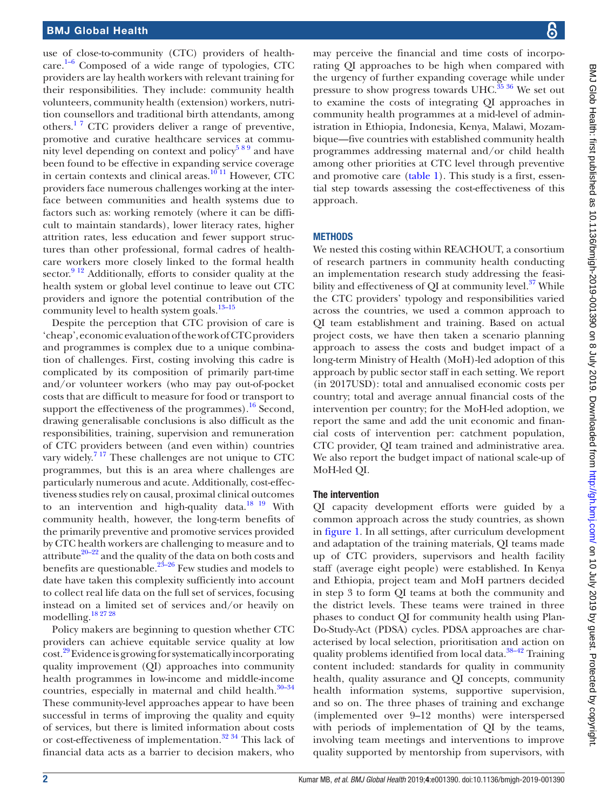use of close-to-community (CTC) providers of healthcare. [1–6](#page-8-0) Composed of a wide range of typologies, CTC providers are lay health workers with relevant training for their responsibilities. They include: community health volunteers, community health (extension) workers, nutrition counsellors and traditional birth attendants, among others.<sup>17</sup> CTC providers deliver a range of preventive, promotive and curative healthcare services at community level depending on context and policy<sup>589</sup> and have been found to be effective in expanding service coverage in certain contexts and clinical areas. $1011$  However, CTC providers face numerous challenges working at the interface between communities and health systems due to factors such as: working remotely (where it can be difficult to maintain standards), lower literacy rates, higher attrition rates, less education and fewer support structures than other professional, formal cadres of healthcare workers more closely linked to the formal health sector. $9^{12}$  Additionally, efforts to consider quality at the health system or global level continue to leave out CTC providers and ignore the potential contribution of the community level to health system goals. $13-15$ 

Despite the perception that CTC provision of care is 'cheap', economic evaluation of the work of CTC providers and programmes is complex due to a unique combination of challenges. First, costing involving this cadre is complicated by its composition of primarily part-time and/or volunteer workers (who may pay out-of-pocket costs that are difficult to measure for food or transport to support the effectiveness of the programmes).<sup>16</sup> Second, drawing generalisable conclusions is also difficult as the responsibilities, training, supervision and remuneration of CTC providers between (and even within) countries vary widely.<sup>[7 17](#page-8-2)</sup> These challenges are not unique to CTC programmes, but this is an area where challenges are particularly numerous and acute. Additionally, cost-effectiveness studies rely on causal, proximal clinical outcomes to an intervention and high-quality data.<sup>18</sup> 19 With community health, however, the long-term benefits of the primarily preventive and promotive services provided by CTC health workers are challenging to measure and to attribute $20-22$  and the quality of the data on both costs and benefits are questionable. $23-26$  Few studies and models to date have taken this complexity sufficiently into account to collect real life data on the full set of services, focusing instead on a limited set of services and/or heavily on modelling[.18 27 28](#page-9-4)

Policy makers are beginning to question whether CTC providers can achieve equitable service quality at low cost.[29](#page-9-7) Evidence is growing for systematically incorporating quality improvement (QI) approaches into community health programmes in low-income and middle-income countries, especially in maternal and child health.<sup>30-34</sup> These community-level approaches appear to have been successful in terms of improving the quality and equity of services, but there is limited information about costs or cost-effectiveness of implementation.<sup>32</sup> <sup>34</sup> This lack of financial data acts as a barrier to decision makers, who

BMJ Glob Health: first published as 10.1136/bmigh-2019-001390 on 8 July 2019. Downloaded from http://gh.bmj.com/ on 10 July 2019 by guest. Protected by copyright BMJ Glob Health: tirst published as 10.1136/bmjgh-2019-001390 on 8 July 2019. Downloaded from com/ BMJ Glob Health: first published as 10.1136/bmjgh-

may perceive the financial and time costs of incorporating QI approaches to be high when compared with the urgency of further expanding coverage while under pressure to show progress towards UHC. $^{35}$  36 We set out to examine the costs of integrating QI approaches in community health programmes at a mid-level of administration in Ethiopia, Indonesia, Kenya, Malawi, Mozambique—five countries with established community health programmes addressing maternal and/or child health among other priorities at CTC level through preventive and promotive care [\(table](#page-2-0) 1). This study is a first, essential step towards assessing the cost-effectiveness of this approach.

## **METHODS**

We nested this costing within REACHOUT, a consortium of research partners in community health conducting an implementation research study addressing the feasibility and effectiveness of QI at community level. $37$  While the CTC providers' typology and responsibilities varied across the countries, we used a common approach to QI team establishment and training. Based on actual project costs, we have then taken a scenario planning approach to assess the costs and budget impact of a long-term Ministry of Health (MoH)-led adoption of this approach by public sector staff in each setting. We report (in 2017USD): total and annualised economic costs per country; total and average annual financial costs of the intervention per country; for the MoH-led adoption, we report the same and add the unit economic and financial costs of intervention per: catchment population, CTC provider, QI team trained and administrative area. We also report the budget impact of national scale-up of MoH-led QI.

## The intervention

QI capacity development efforts were guided by a common approach across the study countries, as shown in [figure](#page-3-0) 1. In all settings, after curriculum development and adaptation of the training materials, QI teams made up of CTC providers, supervisors and health facility staff (average eight people) were established. In Kenya and Ethiopia, project team and MoH partners decided in step 3 to form QI teams at both the community and the district levels. These teams were trained in three phases to conduct QI for community health using Plan-Do-Study-Act (PDSA) cycles. PDSA approaches are characterised by local selection, prioritisation and action on quality problems identified from local data.<sup>38–42</sup> Training content included: standards for quality in community health, quality assurance and QI concepts, community health information systems, supportive supervision, and so on. The three phases of training and exchange (implemented over 9–12 months) were interspersed with periods of implementation of QI by the teams, involving team meetings and interventions to improve quality supported by mentorship from supervisors, with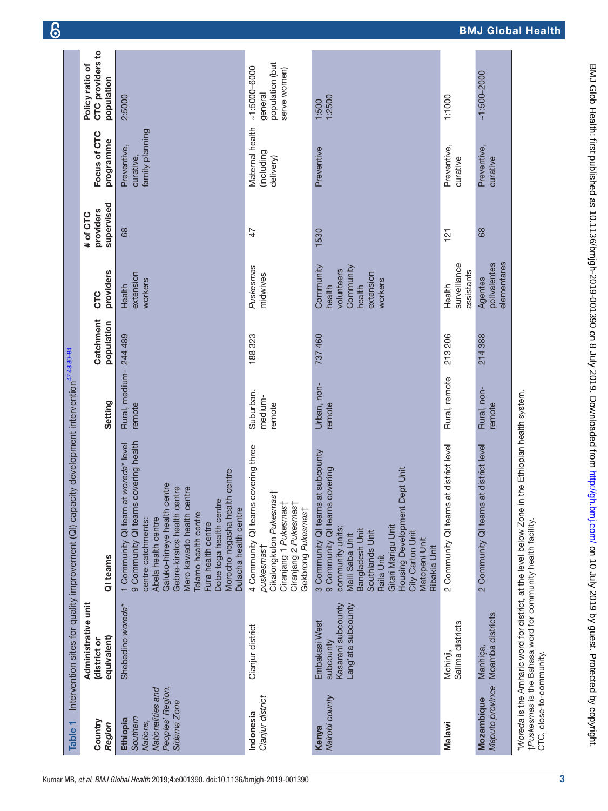<span id="page-2-0"></span>

| Country<br>Table 1<br>Region                                                             | Administrative unit<br>equivalent)<br>(district or                     | Intervention sites for quality improvement (QI) capacity development intervention <sup>47 48 80-84</sup><br>QI teams                                                                                                                                                                                                                                                | Setting                         | Catchment<br>population | providers<br>CTC                                                                 | supervised<br>providers<br># of CTC | Focus of CTC<br>programme                   | CTC providers to<br>Policy ratio of<br>population              |
|------------------------------------------------------------------------------------------|------------------------------------------------------------------------|---------------------------------------------------------------------------------------------------------------------------------------------------------------------------------------------------------------------------------------------------------------------------------------------------------------------------------------------------------------------|---------------------------------|-------------------------|----------------------------------------------------------------------------------|-------------------------------------|---------------------------------------------|----------------------------------------------------------------|
| Peoples' Region,<br>Nationalities and<br>Sidama Zone<br>Southern<br>Ethiopia<br>Nations, | Shebedino woreda*                                                      | covering health<br>at woreda* level<br>Ith centre<br>Galuko-hirreye health centre<br>Gebre-kirstos health centre<br>Mero kawado health centre<br>Dobe toga health centre<br>9 Community QI teams<br>Morocho negasha heal<br>Dulacha health centre<br>1 Community QI team<br>Telamo health centre<br>Abela health centre<br>centre catchments:<br>Fura health centre | Rural, medium-244 489<br>remote |                         | extension<br>workers<br>Health                                                   | 68                                  | family planning<br>Preventive,<br>curative, | 2:5000                                                         |
| Cianjur district<br>Indonesia                                                            | Cianjur district                                                       | covering three<br>Cikalongkulon Pukesmast<br>4 Community QI teams<br>Ciranjang 1 Pukesmas <sup>+</sup><br>Ciranjang 2 Pukesmas <sup>-</sup><br>Gekbrong Pukesmast<br>puskesmas†                                                                                                                                                                                     | Suburban,<br>medium-<br>remote  | 188323                  | Puskesmas<br>midwives                                                            | 47                                  | Maternal health<br>(including<br>delivery)  | population (but<br>$-1:5000 - 6000$<br>serve women)<br>general |
| Nairobi county<br>Kenya                                                                  | Kasarani subcounty<br>Lang'ata subcounty<br>Embakasi West<br>subcounty | at subcounty<br>covering<br>Dept Unit<br>3 Community QI teams<br>9 Community QI teams<br>Housing Development<br>Gitari Marigu Unit<br>community units:<br>Bangladesh Unit<br>City Carton Unit<br>Southlands Unit<br>Maili Saba Unit<br>Matopeni Unit<br>Ribakia Unit<br>Raila Unit                                                                                  | Urban, non-<br>remote           | 737460                  | Community<br>Community<br>volunteers<br>extension<br>workers<br>health<br>health | 1530                                | Preventive                                  | 1:2500<br>1:500                                                |
| Malawi                                                                                   | Salima districts<br>Mchinji,                                           | at district level<br>2 Community QI teams                                                                                                                                                                                                                                                                                                                           | Rural, remote                   | 213206                  | surveillance<br>assistants<br>Health                                             | $\frac{1}{2}$                       | Preventive,<br>curative                     | 1:1000                                                         |
| Maputo province<br>Mozambique                                                            | Moamba districts<br>Manhiça,                                           | at district level<br>2 Community QI teams                                                                                                                                                                                                                                                                                                                           | Rural, non-<br>remote           | 214388                  | elementares<br>polivalentes<br>Agentes                                           | 68                                  | Preventive,<br>curative                     | $-1:500-2000$                                                  |
| CTC. close-to-community.                                                                 | tPuskesmas is the Bahasa word for community health facility.           | "Woreda is the Amharic word for district, at the level below Zone in the Ethiopian health system.                                                                                                                                                                                                                                                                   |                                 |                         |                                                                                  |                                     |                                             |                                                                |

န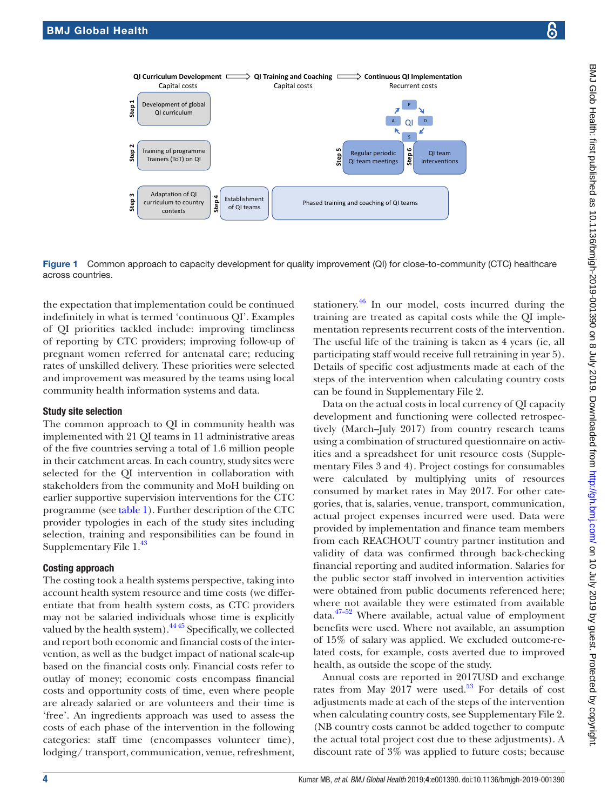

Figure 1 Common approach to capacity development for quality improvement (QI) for close-to-community (CTC) healthcare across countries.

the expectation that implementation could be continued indefinitely in what is termed 'continuous QI'. Examples of QI priorities tackled include: improving timeliness of reporting by CTC providers; improving follow-up of pregnant women referred for antenatal care; reducing rates of unskilled delivery. These priorities were selected and improvement was measured by the teams using local community health information systems and data.

#### Study site selection

The common approach to QI in community health was implemented with 21 QI teams in 11 administrative areas of the five countries serving a total of 1.6 million people in their catchment areas. In each country, study sites were selected for the QI intervention in collaboration with stakeholders from the community and MoH building on earlier supportive supervision interventions for the CTC programme (see [table](#page-2-0) 1). Further description of the CTC provider typologies in each of the study sites including selection, training and responsibilities can be found in [Supplementary File 1.](https://dx.doi.org/10.1136/bmjgh-2019-001390)[43](#page-9-14)

#### Costing approach

The costing took a health systems perspective, taking into account health system resource and time costs (we differentiate that from health system costs, as CTC providers may not be salaried individuals whose time is explicitly valued by the health system).<sup>4445</sup> Specifically, we collected and report both economic and financial costs of the intervention, as well as the budget impact of national scale-up based on the financial costs only. Financial costs refer to outlay of money; economic costs encompass financial costs and opportunity costs of time, even where people are already salaried or are volunteers and their time is 'free'. An ingredients approach was used to assess the costs of each phase of the intervention in the following categories: staff time (encompasses volunteer time), lodging/ transport, communication, venue, refreshment,

<span id="page-3-0"></span>stationery. $46$  In our model, costs incurred during the training are treated as capital costs while the QI implementation represents recurrent costs of the intervention. The useful life of the training is taken as 4 years (ie, all participating staff would receive full retraining in year 5). Details of specific cost adjustments made at each of the steps of the intervention when calculating country costs can be found in [Supplementary File 2](https://dx.doi.org/10.1136/bmjgh-2019-001390).

Data on the actual costs in local currency of QI capacity development and functioning were collected retrospectively (March–July 2017) from country research teams using a combination of structured questionnaire on activities and a spreadsheet for unit resource costs ([Supple](https://dx.doi.org/10.1136/bmjgh-2019-001390)[mentary Files 3 and 4\)](https://dx.doi.org/10.1136/bmjgh-2019-001390). Project costings for consumables were calculated by multiplying units of resources consumed by market rates in May 2017. For other categories, that is, salaries, venue, transport, communication, actual project expenses incurred were used. Data were provided by implementation and finance team members from each REACHOUT country partner institution and validity of data was confirmed through back-checking financial reporting and audited information. Salaries for the public sector staff involved in intervention activities were obtained from public documents referenced here; where not available they were estimated from available data. $47-52$  Where available, actual value of employment benefits were used. Where not available, an assumption of 15% of salary was applied. We excluded outcome-related costs, for example, costs averted due to improved health, as outside the scope of the study.

Annual costs are reported in 2017USD and exchange rates from May  $2017$  were used.<sup>53</sup> For details of cost adjustments made at each of the steps of the intervention when calculating country costs, see [Supplementary File 2.](https://dx.doi.org/10.1136/bmjgh-2019-001390) (NB country costs cannot be added together to compute the actual total project cost due to these adjustments). A discount rate of 3% was applied to future costs; because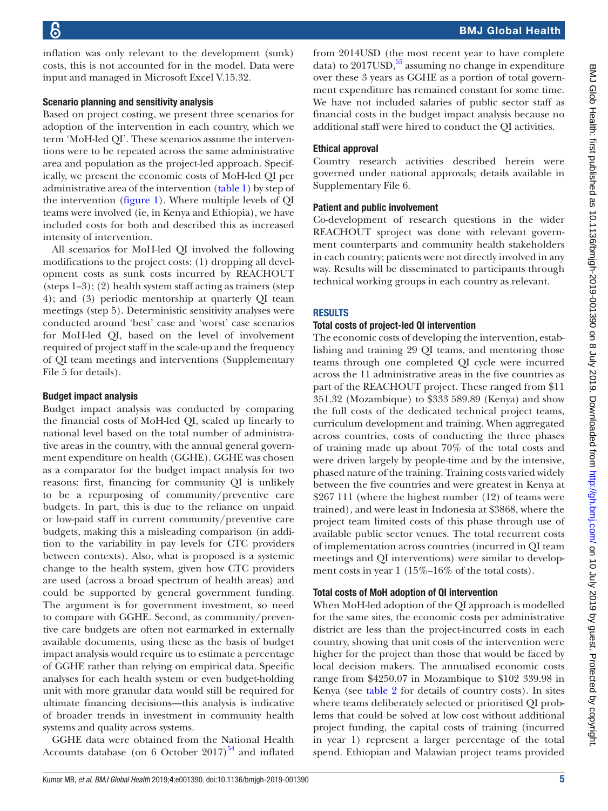inflation was only relevant to the development (sunk) costs, this is not accounted for in the model. Data were input and managed in Microsoft Excel V.15.32.

## Scenario planning and sensitivity analysis

Based on project costing, we present three scenarios for adoption of the intervention in each country, which we term 'MoH-led QI'. These scenarios assume the interventions were to be repeated across the same administrative area and population as the project-led approach. Specifically, we present the economic costs of MoH-led QI per administrative area of the intervention [\(table](#page-2-0) 1) by step of the intervention [\(figure](#page-3-0) 1). Where multiple levels of QI teams were involved (ie, in Kenya and Ethiopia), we have included costs for both and described this as increased intensity of intervention.

All scenarios for MoH-led QI involved the following modifications to the project costs: (1) dropping all development costs as sunk costs incurred by REACHOUT (steps 1–3); (2) health system staff acting as trainers (step 4); and (3) periodic mentorship at quarterly QI team meetings (step 5). Deterministic sensitivity analyses were conducted around 'best' case and 'worst' case scenarios for MoH-led QI, based on the level of involvement required of project staff in the scale-up and the frequency of QI team meetings and interventions ([Supplementary](https://dx.doi.org/10.1136/bmjgh-2019-001390) [File 5](https://dx.doi.org/10.1136/bmjgh-2019-001390) for details).

## Budget impact analysis

Budget impact analysis was conducted by comparing the financial costs of MoH-led QI, scaled up linearly to national level based on the total number of administrative areas in the country, with the annual general government expenditure on health (GGHE). GGHE was chosen as a comparator for the budget impact analysis for two reasons: first, financing for community QI is unlikely to be a repurposing of community/preventive care budgets. In part, this is due to the reliance on unpaid or low-paid staff in current community/preventive care budgets, making this a misleading comparison (in addition to the variability in pay levels for CTC providers between contexts). Also, what is proposed is a systemic change to the health system, given how CTC providers are used (across a broad spectrum of health areas) and could be supported by general government funding. The argument is for government investment, so need to compare with GGHE. Second, as community/preventive care budgets are often not earmarked in externally available documents, using these as the basis of budget impact analysis would require us to estimate a percentage of GGHE rather than relying on empirical data. Specific analyses for each health system or even budget-holding unit with more granular data would still be required for ultimate financing decisions—this analysis is indicative of broader trends in investment in community health systems and quality across systems.

GGHE data were obtained from the National Health Accounts database (on 6 October  $2017$ <sup>54</sup> and inflated from 2014USD (the most recent year to have complete data) to 2017USD,<sup>[55](#page-9-19)</sup> assuming no change in expenditure over these 3 years as GGHE as a portion of total government expenditure has remained constant for some time. We have not included salaries of public sector staff as financial costs in the budget impact analysis because no additional staff were hired to conduct the QI activities.

## Ethical approval

Country research activities described herein were governed under national approvals; details available in [Supplementary File 6.](https://dx.doi.org/10.1136/bmjgh-2019-001390)

## Patient and public involvement

Co-development of research questions in the wider REACHOUT sproject was done with relevant government counterparts and community health stakeholders in each country; patients were not directly involved in any way. Results will be disseminated to participants through technical working groups in each country as relevant.

## **RESULTS**

## Total costs of project-led QI intervention

The economic costs of developing the intervention, establishing and training 29 QI teams, and mentoring those teams through one completed QI cycle were incurred across the 11 administrative areas in the five countries as part of the REACHOUT project. These ranged from \$11 351.32 (Mozambique) to \$333 589.89 (Kenya) and show the full costs of the dedicated technical project teams, curriculum development and training. When aggregated across countries, costs of conducting the three phases of training made up about 70% of the total costs and were driven largely by people-time and by the intensive, phased nature of the training. Training costs varied widely between the five countries and were greatest in Kenya at \$267 111 (where the highest number (12) of teams were trained), and were least in Indonesia at \$3868, where the project team limited costs of this phase through use of available public sector venues. The total recurrent costs of implementation across countries (incurred in QI team meetings and QI interventions) were similar to development costs in year  $1(15\%-16\%)$  of the total costs).

## Total costs of MoH adoption of QI intervention

When MoH-led adoption of the QI approach is modelled for the same sites, the economic costs per administrative district are less than the project-incurred costs in each country, showing that unit costs of the intervention were higher for the project than those that would be faced by local decision makers. The annualised economic costs range from \$4250.07 in Mozambique to \$102 339.98 in Kenya (see [table](#page-5-0) 2 for details of country costs). In sites where teams deliberately selected or prioritised QI problems that could be solved at low cost without additional project funding, the capital costs of training (incurred in year 1) represent a larger percentage of the total spend. Ethiopian and Malawian project teams provided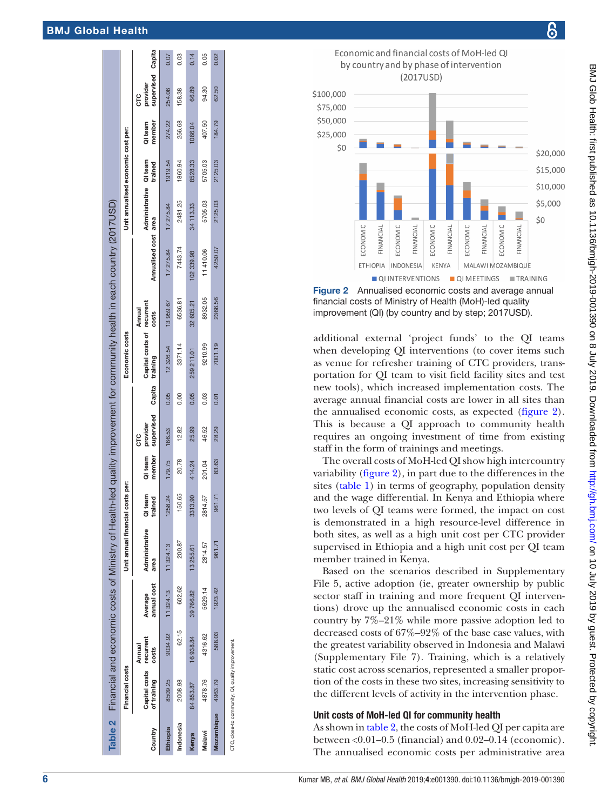Economic and financial costs of MoH-led OI by country and by phase of intervention  $(2017USD)$ 



<span id="page-5-1"></span>Figure 2 Annualised economic costs and average annual financial costs of Ministry of Health (MoH)-led quality improvement (QI) (by country and by step; 2017USD).

additional external 'project funds' to the QI teams when developing QI interventions (to cover items such as venue for refresher training of CTC providers, trans portation for QI team to visit field facility sites and test new tools), which increased implementation costs. The average annual financial costs are lower in all sites than the annualised economic costs, as expected [\(figure](#page-5-1) 2). This is because a QI approach to community health requires an ongoing investment of time from existing staff in the form of trainings and meetings.

The overall costs of MoH-led QI show high intercountry variability ([figure](#page-5-1) 2), in part due to the differences in the sites ([table](#page-2-0) 1) in terms of geography, population density and the wage differential. In Kenya and Ethiopia where two levels of QI teams were formed, the impact on cost is demonstrated in a high resource-level difference in both sites, as well as a high unit cost per CTC provider supervised in Ethiopia and a high unit cost per QI team member trained in Kenya.

Based on the scenarios described in [Supplementary](https://dx.doi.org/10.1136/bmjgh-2019-001390) [File 5](https://dx.doi.org/10.1136/bmjgh-2019-001390), active adoption (ie, greater ownership by public sector staff in training and more frequent QI interven tions) drove up the annualised economic costs in each country by 7%–21% while more passive adoption led to decreased costs of 67%–92% of the base case values, with the greatest variability observed in Indonesia and Malawi [\(Supplementary File 7](https://dx.doi.org/10.1136/bmjgh-2019-001390)). Training, which is a relatively static cost across scenarios, represented a smaller proportion of the costs in these two sites, increasing sensitivity to the different levels of activity in the intervention phase.

#### Unit costs of MoH-led QI for community health

As shown in [table](#page-5-0) 2, the costs of MoH-led QI per capita are between <0.01–0.5 (financial) and 0.02–0.14 (economic). The annualised economic costs per administrative area

|                   |                                        |                 |                        | Table 2 Financial and economic costs of Ministry of Health-led quality improvement for community health in each country (2017USD) |                 |                   |                                             |      |                                        |                 |                 |                                    |                    |                   |                                             |      |
|-------------------|----------------------------------------|-----------------|------------------------|-----------------------------------------------------------------------------------------------------------------------------------|-----------------|-------------------|---------------------------------------------|------|----------------------------------------|-----------------|-----------------|------------------------------------|--------------------|-------------------|---------------------------------------------|------|
|                   | Financial costs                        |                 |                        | Unit annual financial                                                                                                             | costs per:      |                   |                                             |      | Economic costs                         |                 |                 | Unit annualised economic cost per: |                    |                   |                                             |      |
| Country           | Capital costs recurrent<br>of training | Annual<br>costs | annual cost<br>Average | Administrative<br>area                                                                                                            | team<br>trained | member<br>QI team | supervised Capita<br>provider<br><b>CTC</b> |      | Capital costs of recurrent<br>training | Annual<br>costs | Annualised cost | Administrative<br>area             | QI team<br>trained | member<br>QI team | supervised Capita<br>provider<br><b>CTC</b> |      |
| Ethiopia          | 8509.25                                | 9034.92         | 11324.13               | 11 324.13                                                                                                                         | 1258.24         | 179.75            | 166.53                                      | 0.05 | 12326.54                               | 13959.67        | 17 275.84       | 17 275.84                          | 1919.54            | 274.22            | 254.06                                      | 0.07 |
| ndonesia          | 2008.98                                | 62.15           | 602.62                 | 200.87                                                                                                                            | 150.65          | 20.78             | 12.82                                       | 0.00 | 3371.14                                | 6536.81         | 7443.74         | 2481.25                            | 1860.94            | 256.68            | 158.38                                      | 0.03 |
| Kenya             | 84 853.87                              | 16938.84        | 39766.82               | 13255.61                                                                                                                          | 3313.90         | 414.24            | 25.99                                       | 0.05 | 259 211.01                             | 32 605.21       | 102 339.98      | 34 113.33                          | 8528.33            | 1066.04           | 66.89                                       | 0.14 |
| Malawi            | 4878.76                                | 4316.62         | 5629.14                | 2814.57                                                                                                                           | 2814.57         | 201.04            | 46.52                                       | 0.03 | 9210.99                                | 8932.05         | 11410.06        | 5705.03                            | 5705.03            | 407.50            | 94.30                                       | 0.05 |
| <b>Mozambique</b> | 4963.79                                | 588.03          | 1923.42                | 961.71                                                                                                                            | 961.71          | 83.63             | 28.29                                       | 0.01 | 7001.19                                | 2366.56         | 4250.07         | 2125.03                            | 2125.03            | 184.79            | 62.50                                       | 0.02 |
|                   |                                        |                 |                        |                                                                                                                                   |                 |                   |                                             |      |                                        |                 |                 |                                    |                    |                   |                                             |      |

CTC, close-to community; QI, quality improvement.

CTC, close-to community; QI, quality improvement

<span id="page-5-0"></span>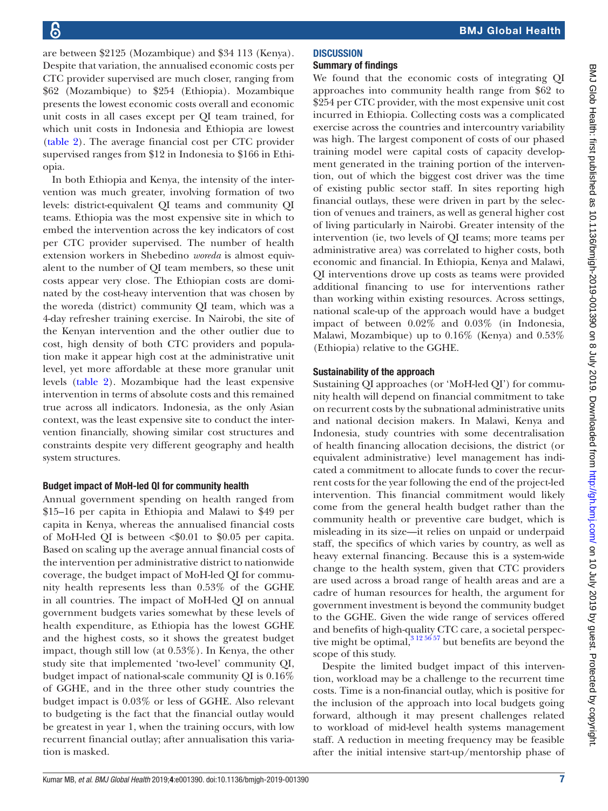are between \$2125 (Mozambique) and \$34 113 (Kenya). Despite that variation, the annualised economic costs per CTC provider supervised are much closer, ranging from \$62 (Mozambique) to \$254 (Ethiopia). Mozambique presents the lowest economic costs overall and economic unit costs in all cases except per QI team trained, for which unit costs in Indonesia and Ethiopia are lowest [\(table](#page-5-0) 2). The average financial cost per CTC provider supervised ranges from \$12 in Indonesia to \$166 in Ethiopia.

In both Ethiopia and Kenya, the intensity of the intervention was much greater, involving formation of two levels: district-equivalent QI teams and community QI teams. Ethiopia was the most expensive site in which to embed the intervention across the key indicators of cost per CTC provider supervised. The number of health extension workers in Shebedino *woreda* is almost equivalent to the number of QI team members, so these unit costs appear very close. The Ethiopian costs are dominated by the cost-heavy intervention that was chosen by the woreda (district) community QI team, which was a 4-day refresher training exercise. In Nairobi, the site of the Kenyan intervention and the other outlier due to cost, high density of both CTC providers and population make it appear high cost at the administrative unit level, yet more affordable at these more granular unit levels ([table](#page-5-0) 2). Mozambique had the least expensive intervention in terms of absolute costs and this remained true across all indicators. Indonesia, as the only Asian context, was the least expensive site to conduct the intervention financially, showing similar cost structures and constraints despite very different geography and health system structures.

## Budget impact of MoH-led QI for community health

Annual government spending on health ranged from \$15–16 per capita in Ethiopia and Malawi to \$49 per capita in Kenya, whereas the annualised financial costs of MoH-led QI is between <\$0.01 to \$0.05 per capita. Based on scaling up the average annual financial costs of the intervention per administrative district to nationwide coverage, the budget impact of MoH-led QI for community health represents less than 0.53% of the GGHE in all countries. The impact of MoH-led QI on annual government budgets varies somewhat by these levels of health expenditure, as Ethiopia has the lowest GGHE and the highest costs, so it shows the greatest budget impact, though still low (at 0.53%). In Kenya, the other study site that implemented 'two-level' community QI, budget impact of national-scale community QI is 0.16% of GGHE, and in the three other study countries the budget impact is 0.03% or less of GGHE. Also relevant to budgeting is the fact that the financial outlay would be greatest in year 1, when the training occurs, with low recurrent financial outlay; after annualisation this variation is masked.

## **DISCUSSION** Summary of findings

We found that the economic costs of integrating QI approaches into community health range from \$62 to \$254 per CTC provider, with the most expensive unit cost incurred in Ethiopia. Collecting costs was a complicated exercise across the countries and intercountry variability was high. The largest component of costs of our phased training model were capital costs of capacity development generated in the training portion of the intervention, out of which the biggest cost driver was the time of existing public sector staff. In sites reporting high financial outlays, these were driven in part by the selection of venues and trainers, as well as general higher cost of living particularly in Nairobi. Greater intensity of the intervention (ie, two levels of QI teams; more teams per administrative area) was correlated to higher costs, both economic and financial. In Ethiopia, Kenya and Malawi, QI interventions drove up costs as teams were provided additional financing to use for interventions rather than working within existing resources. Across settings, national scale-up of the approach would have a budget impact of between 0.02% and 0.03% (in Indonesia, Malawi, Mozambique) up to 0.16% (Kenya) and 0.53% (Ethiopia) relative to the GGHE.

## Sustainability of the approach

Sustaining QI approaches (or 'MoH-led QI') for community health will depend on financial commitment to take on recurrent costs by the subnational administrative units and national decision makers. In Malawi, Kenya and Indonesia, study countries with some decentralisation of health financing allocation decisions, the district (or equivalent administrative) level management has indicated a commitment to allocate funds to cover the recurrent costs for the year following the end of the project-led intervention. This financial commitment would likely come from the general health budget rather than the community health or preventive care budget, which is misleading in its size—it relies on unpaid or underpaid staff, the specifics of which varies by country, as well as heavy external financing. Because this is a system-wide change to the health system, given that CTC providers are used across a broad range of health areas and are a cadre of human resources for health, the argument for government investment is beyond the community budget to the GGHE. Given the wide range of services offered and benefits of high-quality CTC care, a societal perspective might be optimal,  $3^{12\,56\,57}$  but benefits are beyond the scope of this study.

Despite the limited budget impact of this intervention, workload may be a challenge to the recurrent time costs. Time is a non-financial outlay, which is positive for the inclusion of the approach into local budgets going forward, although it may present challenges related to workload of mid-level health systems management staff. A reduction in meeting frequency may be feasible after the initial intensive start-up/mentorship phase of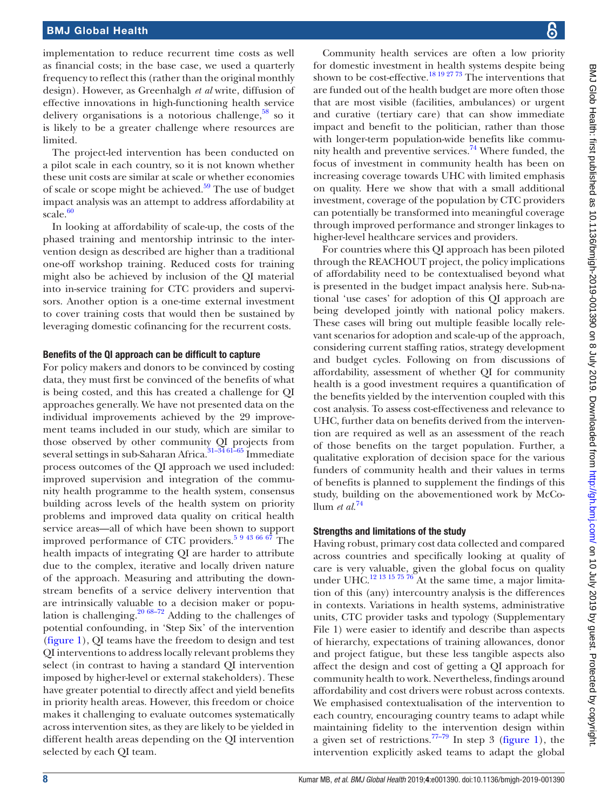#### BMJ Global Health

implementation to reduce recurrent time costs as well as financial costs; in the base case, we used a quarterly frequency to reflect this (rather than the original monthly design). However, as Greenhalgh *et al* write, diffusion of effective innovations in high-functioning health service delivery organisations is a notorious challenge,  $58$  so it is likely to be a greater challenge where resources are limited.

The project-led intervention has been conducted on a pilot scale in each country, so it is not known whether these unit costs are similar at scale or whether economies of scale or scope might be achieved. $59$  The use of budget impact analysis was an attempt to address affordability at scale.<sup>[60](#page-9-22)</sup>

In looking at affordability of scale-up, the costs of the phased training and mentorship intrinsic to the intervention design as described are higher than a traditional one-off workshop training. Reduced costs for training might also be achieved by inclusion of the QI material into in-service training for CTC providers and supervisors. Another option is a one-time external investment to cover training costs that would then be sustained by leveraging domestic cofinancing for the recurrent costs.

#### Benefits of the QI approach can be difficult to capture

For policy makers and donors to be convinced by costing data, they must first be convinced of the benefits of what is being costed, and this has created a challenge for QI approaches generally. We have not presented data on the individual improvements achieved by the 29 improvement teams included in our study, which are similar to those observed by other community QI projects from several settings in sub-Saharan Africa.<sup>31–34 61–65</sup> Immediate process outcomes of the QI approach we used included: improved supervision and integration of the community health programme to the health system, consensus building across levels of the health system on priority problems and improved data quality on critical health service areas—all of which have been shown to support improved performance of CTC providers.<sup>5 9 43 66 67</sup> The health impacts of integrating QI are harder to attribute due to the complex, iterative and locally driven nature of the approach. Measuring and attributing the downstream benefits of a service delivery intervention that are intrinsically valuable to a decision maker or population is challenging. $20\frac{68-72}{ }$  Adding to the challenges of potential confounding, in 'Step Six' of the intervention ([figure](#page-3-0) 1), QI teams have the freedom to design and test QI interventions to address locally relevant problems they select (in contrast to having a standard QI intervention imposed by higher-level or external stakeholders). These have greater potential to directly affect and yield benefits in priority health areas. However, this freedom or choice makes it challenging to evaluate outcomes systematically across intervention sites, as they are likely to be yielded in different health areas depending on the QI intervention selected by each QI team.

Community health services are often a low priority for domestic investment in health systems despite being shown to be cost-effective.<sup>18 19 27 73</sup> The interventions that are funded out of the health budget are more often those that are most visible (facilities, ambulances) or urgent and curative (tertiary care) that can show immediate impact and benefit to the politician, rather than those with longer-term population-wide benefits like community health and preventive services.<sup>74</sup> Where funded, the focus of investment in community health has been on increasing coverage towards UHC with limited emphasis on quality. Here we show that with a small additional investment, coverage of the population by CTC providers can potentially be transformed into meaningful coverage through improved performance and stronger linkages to higher-level healthcare services and providers.

For countries where this QI approach has been piloted through the REACHOUT project, the policy implications of affordability need to be contextualised beyond what is presented in the budget impact analysis here. Sub-national 'use cases' for adoption of this QI approach are being developed jointly with national policy makers. These cases will bring out multiple feasible locally relevant scenarios for adoption and scale-up of the approach, considering current staffing ratios, strategy development and budget cycles. Following on from discussions of affordability, assessment of whether QI for community health is a good investment requires a quantification of the benefits yielded by the intervention coupled with this cost analysis. To assess cost-effectiveness and relevance to UHC, further data on benefits derived from the intervention are required as well as an assessment of the reach of those benefits on the target population. Further, a qualitative exploration of decision space for the various funders of community health and their values in terms of benefits is planned to supplement the findings of this study, building on the abovementioned work by McCollum *et al.*[74](#page-10-0)

#### Strengths and limitations of the study

Having robust, primary cost data collected and compared across countries and specifically looking at quality of care is very valuable, given the global focus on quality under UHC.<sup>[12 13 15 75 76](#page-9-24)</sup> At the same time, a major limitation of this (any) intercountry analysis is the differences in contexts. Variations in health systems, administrative units, CTC provider tasks and typology [\(Supplementary](https://dx.doi.org/10.1136/bmjgh-2019-001390) [File 1\)](https://dx.doi.org/10.1136/bmjgh-2019-001390) were easier to identify and describe than aspects of hierarchy, expectations of training allowances, donor and project fatigue, but these less tangible aspects also affect the design and cost of getting a QI approach for community health to work. Nevertheless, findings around affordability and cost drivers were robust across contexts. We emphasised contextualisation of the intervention to each country, encouraging country teams to adapt while maintaining fidelity to the intervention design within a given set of restrictions.<sup>77-79</sup> In step 3 ([figure](#page-3-0) 1), the intervention explicitly asked teams to adapt the global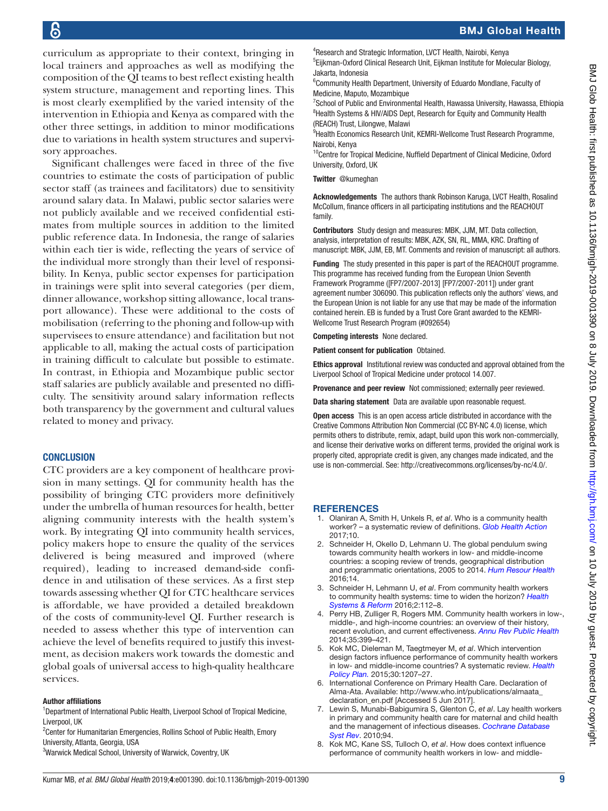curriculum as appropriate to their context, bringing in local trainers and approaches as well as modifying the composition of the QI teams to best reflect existing health system structure, management and reporting lines. This is most clearly exemplified by the varied intensity of the intervention in Ethiopia and Kenya as compared with the other three settings, in addition to minor modifications due to variations in health system structures and supervisory approaches.

Significant challenges were faced in three of the five countries to estimate the costs of participation of public sector staff (as trainees and facilitators) due to sensitivity around salary data. In Malawi, public sector salaries were not publicly available and we received confidential estimates from multiple sources in addition to the limited public reference data. In Indonesia, the range of salaries within each tier is wide, reflecting the years of service of the individual more strongly than their level of responsibility. In Kenya, public sector expenses for participation in trainings were split into several categories (per diem, dinner allowance, workshop sitting allowance, local transport allowance). These were additional to the costs of mobilisation (referring to the phoning and follow-up with supervisees to ensure attendance) and facilitation but not applicable to all, making the actual costs of participation in training difficult to calculate but possible to estimate. In contrast, in Ethiopia and Mozambique public sector staff salaries are publicly available and presented no difficulty. The sensitivity around salary information reflects both transparency by the government and cultural values related to money and privacy.

## **CONCLUSION**

CTC providers are a key component of healthcare provision in many settings. QI for community health has the possibility of bringing CTC providers more definitively under the umbrella of human resources for health, better aligning community interests with the health system's work. By integrating QI into community health services, policy makers hope to ensure the quality of the services delivered is being measured and improved (where required), leading to increased demand-side confidence in and utilisation of these services. As a first step towards assessing whether QI for CTC healthcare services is affordable, we have provided a detailed breakdown of the costs of community-level QI. Further research is needed to assess whether this type of intervention can achieve the level of benefits required to justify this investment, as decision makers work towards the domestic and global goals of universal access to high-quality healthcare services.

#### Author affiliations

<sup>1</sup>Department of International Public Health, Liverpool School of Tropical Medicine, Liverpool, UK

<sup>2</sup> Center for Humanitarian Emergencies, Rollins School of Public Health, Emory University, Atlanta, Georgia, USA

<sup>3</sup>Warwick Medical School, University of Warwick, Coventry, UK

4 Research and Strategic Information, LVCT Health, Nairobi, Kenya 5 Eijkman-Oxford Clinical Research Unit, Eijkman Institute for Molecular Biology, Jakarta, Indonesia

<sup>6</sup>Community Health Department, University of Eduardo Mondlane, Faculty of Medicine, Maputo, Mozambique

<sup>7</sup>School of Public and Environmental Health, Hawassa University, Hawassa, Ethiopia <sup>8</sup> Health Systems & HIV/AIDS Dept, Research for Equity and Community Health (REACH) Trust, Lilongwe, Malawi

<sup>9</sup>Health Economics Research Unit, KEMRI-Wellcome Trust Research Programme, Nairobi, Kenya

<sup>10</sup>Centre for Tropical Medicine, Nuffield Department of Clinical Medicine, Oxford University, Oxford, UK

Twitter @kumeghan

Acknowledgements The authors thank Robinson Karuga, LVCT Health, Rosalind McCollum, finance officers in all participating institutions and the REACHOUT family.

Contributors Study design and measures: MBK, JJM, MT. Data collection, analysis, interpretation of results: MBK, AZK, SN, RL, MMA, KRC. Drafting of manuscript: MBK, JJM, EB, MT. Comments and revision of manuscript: all authors.

Funding The study presented in this paper is part of the REACHOUT programme. This programme has received funding from the European Union Seventh Framework Programme ([FP7/2007-2013] [FP7/2007-2011]) under grant agreement number 306090. This publication reflects only the authors' views, and the European Union is not liable for any use that may be made of the information contained herein. EB is funded by a Trust Core Grant awarded to the KEMRI-Wellcome Trust Research Program (#092654)

Competing interests None declared.

Patient consent for publication Obtained.

Ethics approval Institutional review was conducted and approval obtained from the Liverpool School of Tropical Medicine under protocol 14.007.

Provenance and peer review Not commissioned; externally peer reviewed.

Data sharing statement Data are available upon reasonable request.

Open access This is an open access article distributed in accordance with the Creative Commons Attribution Non Commercial (CC BY-NC 4.0) license, which permits others to distribute, remix, adapt, build upon this work non-commercially, and license their derivative works on different terms, provided the original work is properly cited, appropriate credit is given, any changes made indicated, and the use is non-commercial. See:<http://creativecommons.org/licenses/by-nc/4.0/>.

#### **REFERENCES**

- <span id="page-8-0"></span>1. Olaniran A, Smith H, Unkels R, *et al*. Who is a community health worker? – a systematic review of definitions. *[Glob Health Action](http://dx.doi.org/10.1080/16549716.2017.1272223)* 2017;10.
- 2. Schneider H, Okello D, Lehmann U. The global pendulum swing towards community health workers in low- and middle-income countries: a scoping review of trends, geographical distribution and programmatic orientations, 2005 to 2014. *[Hum Resour Health](http://dx.doi.org/10.1186/s12960-016-0163-2)* 2016;14.
- <span id="page-8-3"></span>3. Schneider H, Lehmann U, *et al*. From community health workers to community health systems: time to widen the horizon? *[Health](http://dx.doi.org/10.1080/23288604.2016.1166307)  [Systems & Reform](http://dx.doi.org/10.1080/23288604.2016.1166307)* 2016;2:112–8.
- 4. Perry HB, Zulliger R, Rogers MM. Community health workers in low-, middle-, and high-income countries: an overview of their history, recent evolution, and current effectiveness. *[Annu Rev Public Health](http://dx.doi.org/10.1146/annurev-publhealth-032013-182354)* 2014;35:399–421.
- <span id="page-8-1"></span>5. Kok MC, Dieleman M, Taegtmeyer M, *et al*. Which intervention design factors influence performance of community health workers in low- and middle-income countries? A systematic review. *[Health](http://dx.doi.org/10.1093/heapol/czu126)  [Policy Plan.](http://dx.doi.org/10.1093/heapol/czu126)* 2015;30:1207–27.
- 6. International Conference on Primary Health Care. Declaration of Alma-Ata. Available: [http://www.who.int/publications/almaata\\_](http://www.who.int/publications/almaata_declaration_en.pdf) [declaration\\_en.pdf](http://www.who.int/publications/almaata_declaration_en.pdf) [Accessed 5 Jun 2017].
- <span id="page-8-2"></span>7. Lewin S, Munabi-Babigumira S, Glenton C, *et al*. Lay health workers in primary and community health care for maternal and child health and the management of infectious diseases. *[Cochrane Database](http://dx.doi.org/10.1002/14651858.CD004015.pub3)  [Syst Rev](http://dx.doi.org/10.1002/14651858.CD004015.pub3)*. 2010;94.
- 8. Kok MC, Kane SS, Tulloch O, *et al*. How does context influence performance of community health workers in low- and middle-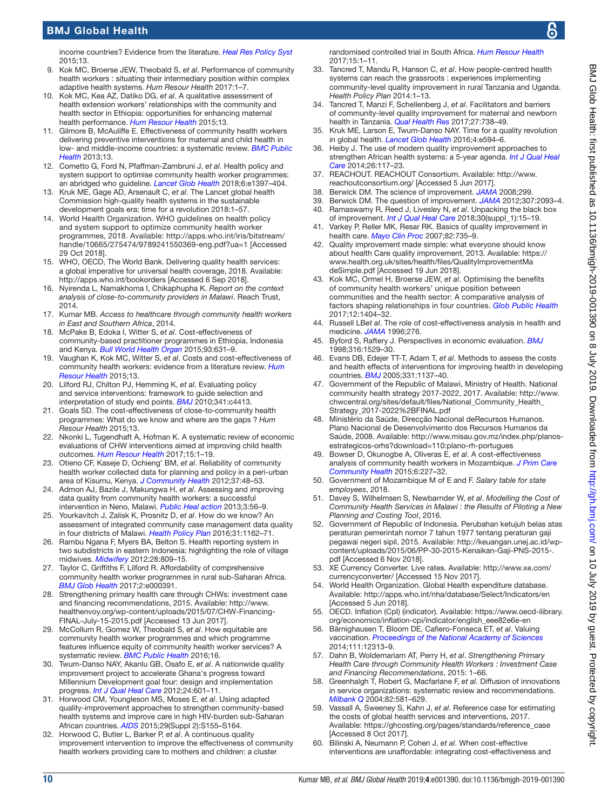income countries? Evidence from the literature. *[Heal Res Policy Syst](http://dx.doi.org/10.1186/s12961-015-0001-3)* 2015;13.

- <span id="page-9-1"></span>9. Kok MC, Broerse JEW, Theobald S, *et al*. Performance of community health workers : situating their intermediary position within complex adaptive health systems. *Hum Resour Health* 2017:1–7.
- <span id="page-9-0"></span>10. Kok MC, Kea AZ, Datiko DG, *et al*. A qualitative assessment of health extension workers' relationships with the community and health sector in Ethiopia: opportunities for enhancing maternal health performance. *[Hum Resour Health](http://dx.doi.org/10.1186/s12960-015-0077-4)* 2015;13.
- 11. Gilmore B, McAuliffe E. Effectiveness of community health workers delivering preventive interventions for maternal and child health in low- and middle-income countries: a systematic review. *[BMC Public](http://dx.doi.org/10.1186/1471-2458-13-847)  [Health](http://dx.doi.org/10.1186/1471-2458-13-847)* 2013;13.
- <span id="page-9-24"></span>12. Cometto G, Ford N, Pfaffman-Zambruni J, *et al*. Health policy and system support to optimise community health worker programmes: an abridged who guideline. *[Lancet Glob Health](http://dx.doi.org/10.1016/S2214-109X(18)30482-0)* 2018;6:e1397–404.
- <span id="page-9-2"></span>13. Kruk ME, Gage AD, Arsenault C, *et al*. The Lancet global health Commission high-quality health systems in the sustainable development goals era: time for a revolution 2018:1–57.
- 14. World Health Organization. WHO guidelines on health policy and system support to optimize community health worker programmes, 2018. Available: [http://apps.who.int/iris/bitstream/](http://apps.who.int/iris/bitstream/handle/10665/275474/9789241550369-eng.pdf?ua=1) [handle/10665/275474/9789241550369-eng.pdf?ua=1](http://apps.who.int/iris/bitstream/handle/10665/275474/9789241550369-eng.pdf?ua=1) [Accessed 29 Oct 2018].
- 15. WHO, OECD, The World Bank. Delivering quality health services: a global imperative for universal health coverage, 2018. Available: <http://apps.who.int/bookorders>[Accessed 6 Sep 2018].
- <span id="page-9-3"></span>16. Nyirenda L, Namakhoma I, Chikaphupha K. *Report on the context analysis of close-to-community providers in Malawi*. Reach Trust, 2014.
- 17. Kumar MB. *Access to healthcare through community health workers in East and Southern Africa*, 2014.
- <span id="page-9-4"></span>18. McPake B, Edoka I, Witter S, *et al*. Cost-effectiveness of community-based practitioner programmes in Ethiopia, Indonesia and Kenya. *[Bull World Health Organ](http://dx.doi.org/10.2471/BLT.14.144899)* 2015;93:631–9.
- 19. Vaughan K, Kok MC, Witter S, *et al*. Costs and cost-effectiveness of community health workers: evidence from a literature review. *[Hum](http://dx.doi.org/10.1186/s12960-015-0070-y)  [Resour Health](http://dx.doi.org/10.1186/s12960-015-0070-y)* 2015;13.
- <span id="page-9-5"></span>20. Lilford RJ, Chilton PJ, Hemming K, *et al*. Evaluating policy and service interventions: framework to guide selection and interpretation of study end points. *[BMJ](http://dx.doi.org/10.1136/bmj.c4413)* 2010;341:c4413.
- 21. Goals SD. The cost-effectiveness of close-to-community health programmes: What do we know and where are the gaps ? *Hum Resour Health* 2015;13.
- 22. Nkonki L, Tugendhaft A, Hofman K. A systematic review of economic evaluations of CHW interventions aimed at improving child health outcomes. *[Hum Resour Health](http://dx.doi.org/10.1186/s12960-017-0192-5)* 2017;15:1–19.
- <span id="page-9-6"></span>23. Otieno CF, Kaseje D, Ochieng' BM, *et al*. Reliability of community health worker collected data for planning and policy in a peri-urban area of Kisumu, Kenya. *[J Community Health](http://dx.doi.org/10.1007/s10900-011-9414-2)* 2012;37:48–53.
- 24. Admon AJ, Bazile J, Makungwa H, *et al*. Assessing and improving data quality from community health workers: a successful intervention in Neno, Malawi. *[Public Heal action](http://dx.doi.org/10.5588/pha.12.0071)* 2013;3:56–9.
- 25. Yourkavitch J, Zalisk K, Prosnitz D, *et al*. How do we know? An assessment of integrated community case management data quality in four districts of Malawi. *[Health Policy Plan](http://dx.doi.org/10.1093/heapol/czw047)* 2016;31:1162–71.
- 26. Rambu Ngana F, Myers BA, Belton S. Health reporting system in two subdistricts in eastern Indonesia: highlighting the role of village midwives. *[Midwifery](http://dx.doi.org/10.1016/j.midw.2011.09.005)* 2012;28:809–15.
- 27. Taylor C, Griffiths F, Lilford R. Affordability of comprehensive community health worker programmes in rural sub-Saharan Africa. *[BMJ Glob Health](http://dx.doi.org/10.1136/bmjgh-2017-000391)* 2017;2:e000391.
- 28. Strengthening primary health care through CHWs: investment case and financing recommendations, 2015. Available: [http://www.](http://www.healthenvoy.org/wp-content/uploads/2015/07/CHW-Financing-FINAL-July-15-2015.pdf) [healthenvoy.org/wp-content/uploads/2015/07/CHW-Financing-](http://www.healthenvoy.org/wp-content/uploads/2015/07/CHW-Financing-FINAL-July-15-2015.pdf)[FINAL-July-15-2015.pdf](http://www.healthenvoy.org/wp-content/uploads/2015/07/CHW-Financing-FINAL-July-15-2015.pdf) [Accessed 13 Jun 2017].
- <span id="page-9-7"></span>29. McCollum R, Gomez W, Theobald S, *et al*. How equitable are community health worker programmes and which programme features influence equity of community health worker services? A systematic review. *[BMC Public Health](http://dx.doi.org/10.1186/s12889-016-3043-8)* 2016;16.
- <span id="page-9-8"></span>30. Twum-Danso NAY, Akanlu GB, Osafo E, *et al*. A nationwide quality improvement project to accelerate Ghana's progress toward Millennium Development goal four: design and implementation progress. *[Int J Qual Heal Care](http://dx.doi.org/10.1093/intqhc/mzs060)* 2012;24:601–11.
- <span id="page-9-23"></span>31. Horwood CM, Youngleson MS, Moses E, *et al*. Using adapted quality-improvement approaches to strengthen community-based health systems and improve care in high HIV-burden sub-Saharan African countries. *[AIDS](http://dx.doi.org/10.1097/QAD.0000000000000716)* 2015;29(Suppl 2):S155–S164.
- <span id="page-9-9"></span>32. Horwood C, Butler L, Barker P, *et al*. A continuous quality improvement intervention to improve the effectiveness of community health workers providing care to mothers and children: a cluster

randomised controlled trial in South Africa. *[Hum Resour Health](http://dx.doi.org/10.1186/s12960-017-0210-7)* 2017;15:1–11.

- 33. Tancred T, Mandu R, Hanson C, *et al*. How people-centred health systems can reach the grassroots : experiences implementing community-level quality improvement in rural Tanzania and Uganda. *Health Policy Plan* 2014:1–13.
- 34. Tancred T, Manzi F, Schellenberg J, *et al*. Facilitators and barriers of community-level quality improvement for maternal and newborn health in Tanzania. *[Qual Health Res](http://dx.doi.org/10.1177/1049732316638831)* 2017;27:738–49.
- <span id="page-9-10"></span>35. Kruk ME, Larson E, Twum-Danso NAY. Time for a quality revolution in global health. *[Lancet Glob Health](http://dx.doi.org/10.1016/S2214-109X(16)30131-0)* 2016;4:e594–6.
- 36. Heiby J. The use of modern quality improvement approaches to strengthen African health systems: a 5-year agenda. *[Int J Qual Heal](http://dx.doi.org/10.1093/intqhc/mzt093)  [Care](http://dx.doi.org/10.1093/intqhc/mzt093)* 2014;26:117–23.
- <span id="page-9-11"></span>37. REACHOUT. REACHOUT Consortium. Available: [http://www.](http://www.reachoutconsortium.org/) [reachoutconsortium.org/](http://www.reachoutconsortium.org/) [Accessed 5 Jun 2017].
- <span id="page-9-12"></span>38. Berwick DM. The science of improvement. *[JAMA](http://dx.doi.org/10.1001/jama.299.10.1182)* 2008;299.
- 39. Berwick DM. The question of improvement. *[JAMA](http://dx.doi.org/10.1001/jama.2012.4146)* 2012;307:2093–4.
- 40. Ramaswamy R, Reed J, Livesley N, *et al*. Unpacking the black box
- of improvement. *[Int J Qual Heal Care](http://dx.doi.org/10.1093/intqhc/mzy009)* 2018;30(suppl\_1):15–19. 41. Varkey P, Reller MK, Resar RK. Basics of quality improvement in health care. *[Mayo Clin Proc](http://dx.doi.org/10.1016/S0025-6196(11)61194-4)* 2007;82:735–9.
- 42. Quality improvement made simple: what everyone should know about health Care quality improvement, 2013. Available: [https://](https://www.health.org.uk/sites/health/files/QualityImprovementMadeSimple.pdf) [www.health.org.uk/sites/health/files/QualityImprovementMa](https://www.health.org.uk/sites/health/files/QualityImprovementMadeSimple.pdf) [deSimple.pdf](https://www.health.org.uk/sites/health/files/QualityImprovementMadeSimple.pdf) [Accessed 19 Jun 2018].
- <span id="page-9-14"></span>43. Kok MC, Ormel H, Broerse JEW, *et al*. Optimising the benefits of community health workers' unique position between communities and the health sector: A comparative analysis of factors shaping relationships in four countries. *[Glob Public Health](http://dx.doi.org/10.1080/17441692.2016.1174722)* 2017;12:1404–32.
- <span id="page-9-15"></span>44. Russell LB*et al*. The role of cost-effectiveness analysis in health and medicine. *[JAMA](http://dx.doi.org/10.1001/jama.1996.03540140060028)* 1996;276.
- 45. Byford S, Raftery J. Perspectives in economic evaluation. *[BMJ](http://dx.doi.org/10.1136/bmj.316.7143.1529)* 1998;316:1529–30.
- <span id="page-9-16"></span>46. Evans DB, Edejer TT-T, Adam T, *et al*. Methods to assess the costs and health effects of interventions for improving health in developing countries. *[BMJ](http://dx.doi.org/10.1136/bmj.331.7525.1137)* 2005;331:1137–40.
- <span id="page-9-13"></span>47. Government of the Republic of Malawi, Ministry of Health. National community health strategy 2017-2022, 2017. Available: [http://www.](http://www.chwcentral.org/sites/default/files/National_Community_Health_Strategy_2017-2022%2BFINAL.pdf) [chwcentral.org/sites/default/files/National\\_Community\\_Health\\_](http://www.chwcentral.org/sites/default/files/National_Community_Health_Strategy_2017-2022%2BFINAL.pdf) [Strategy\\_2017-2022%2BFINAL.pdf](http://www.chwcentral.org/sites/default/files/National_Community_Health_Strategy_2017-2022%2BFINAL.pdf)
- Ministério da Saúde, Direcção Nacional deRecursos Humanos. Plano Nacional de Desenvolvimento dos Recursos Humanos da Saúde, 2008. Available: [http://www.misau.gov.mz/index.php/planos](http://www.misau.gov.mz/index.php/planos-estrategicos-orhs?download=110:plano-rh-portugues)[estrategicos-orhs?download=110:plano-rh-portugues](http://www.misau.gov.mz/index.php/planos-estrategicos-orhs?download=110:plano-rh-portugues)
- 49. Bowser D, Okunogbe A, Oliveras E, *et al*. A cost-effectiveness analysis of community health workers in Mozambique. *[J Prim Care](http://dx.doi.org/10.1177/2150131915579653)  [Community Health](http://dx.doi.org/10.1177/2150131915579653)* 2015;6:227–32.
- 50. Government of Mozambique M of E and F. *Salary table for state employees*, 2018.
- 51. Davey S, Wilhelmsen S, Newbarnder W, *et al*. *Modelling the Cost of Community Health Services in Malawi : the Results of Piloting a New Planning and Costing Tool*, 2016.
- 52. Government of Republic of Indonesia. Perubahan ketujuh belas atas peraturan pemerintah nomor 7 tahun 1977 tentang peraturan gaji pegawai negeri sipil, 2015. Available: [http://keuangan.unej.ac.id/wp](http://keuangan.unej.ac.id/wp-content/uploads/2015/06/PP-30-2015-Kenaikan-Gaji-PNS-2015-.pdf)[content/uploads/2015/06/PP-30-2015-Kenaikan-Gaji-PNS-2015-.](http://keuangan.unej.ac.id/wp-content/uploads/2015/06/PP-30-2015-Kenaikan-Gaji-PNS-2015-.pdf) [pdf](http://keuangan.unej.ac.id/wp-content/uploads/2015/06/PP-30-2015-Kenaikan-Gaji-PNS-2015-.pdf) [Accessed 6 Nov 2018].
- <span id="page-9-17"></span>53. XE Currency Converter. Live rates. Available: [http://www.xe.com/](http://www.xe.com/currencyconverter/) [currencyconverter/](http://www.xe.com/currencyconverter/) [Accessed 15 Nov 2017].
- <span id="page-9-18"></span>54. World Health Organization. Global Health expenditure database. Available: <http://apps.who.int/nha/database/Select/Indicators/en> [Accessed 5 Jun 2018].
- <span id="page-9-19"></span>55. OECD. Inflation (CpI) (indicator). Available: [https://www.oecd-ilibrary.](https://www.oecd-ilibrary.org/economics/inflation-cpi/indicator/english_eee82e6e-en) [org/economics/inflation-cpi/indicator/english\\_eee82e6e-en](https://www.oecd-ilibrary.org/economics/inflation-cpi/indicator/english_eee82e6e-en)
- 56. Bärnighausen T, Bloom DE, Cafiero-Fonseca ET, *et al*. Valuing vaccination. *[Proceedings of the National Academy of Sciences](http://dx.doi.org/10.1073/pnas.1400475111)* 2014;111:12313–9.
- 57. Dahn B, Woldemariam AT, Perry H, *et al*. *Strengthening Primary Health Care through Community Health Workers : Investment Case and Financing Recommendations*, 2015: 1–66.
- <span id="page-9-20"></span>58. Greenhalgh T, Robert G, Macfarlane F, *et al*. Diffusion of innovations in service organizations: systematic review and recommendations. *[Milbank Q](http://dx.doi.org/10.1111/j.0887-378X.2004.00325.x)* 2004;82:581–629.
- <span id="page-9-21"></span>Vassall A, Sweeney S, Kahn J, et al. Reference case for estimating the costs of global health services and interventions, 2017. Available: [https://ghcosting.org/pages/standards/reference\\_case](https://ghcosting.org/pages/standards/reference_case)  [Accessed 8 Oct 2017].
- <span id="page-9-22"></span>60. Bilinski A, Neumann P, Cohen J, *et al*. When cost-effective interventions are unaffordable: integrating cost-effectiveness and